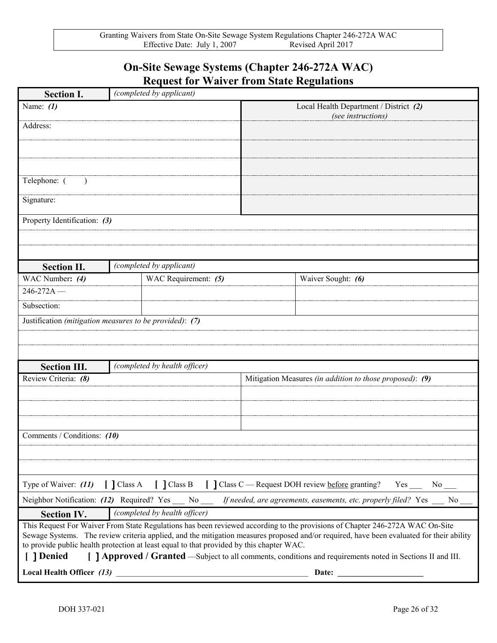## **On-Site Sewage Systems (Chapter 246-272A WAC) Request for Waiver from State Regulations**

| <b>Section I.</b>                                                                                                                                                                                                                                                                                                                                                                                                                                                                                | (completed by applicant)      |                                                              |                                                          |                    |  |
|--------------------------------------------------------------------------------------------------------------------------------------------------------------------------------------------------------------------------------------------------------------------------------------------------------------------------------------------------------------------------------------------------------------------------------------------------------------------------------------------------|-------------------------------|--------------------------------------------------------------|----------------------------------------------------------|--------------------|--|
| Name: $(1)$                                                                                                                                                                                                                                                                                                                                                                                                                                                                                      |                               | Local Health Department / District (2)<br>(see instructions) |                                                          |                    |  |
| Address:                                                                                                                                                                                                                                                                                                                                                                                                                                                                                         |                               |                                                              |                                                          |                    |  |
|                                                                                                                                                                                                                                                                                                                                                                                                                                                                                                  |                               |                                                              |                                                          |                    |  |
|                                                                                                                                                                                                                                                                                                                                                                                                                                                                                                  |                               |                                                              |                                                          |                    |  |
| Telephone: (                                                                                                                                                                                                                                                                                                                                                                                                                                                                                     |                               |                                                              |                                                          |                    |  |
| Signature:                                                                                                                                                                                                                                                                                                                                                                                                                                                                                       |                               |                                                              |                                                          |                    |  |
| Property Identification: (3)                                                                                                                                                                                                                                                                                                                                                                                                                                                                     |                               |                                                              |                                                          |                    |  |
|                                                                                                                                                                                                                                                                                                                                                                                                                                                                                                  |                               |                                                              |                                                          |                    |  |
|                                                                                                                                                                                                                                                                                                                                                                                                                                                                                                  |                               |                                                              |                                                          |                    |  |
| <b>Section II.</b>                                                                                                                                                                                                                                                                                                                                                                                                                                                                               |                               | (completed by applicant)                                     |                                                          |                    |  |
| WAC Number: (4)                                                                                                                                                                                                                                                                                                                                                                                                                                                                                  |                               | WAC Requirement: (5)                                         |                                                          | Waiver Sought: (6) |  |
| $246 - 272A$ –                                                                                                                                                                                                                                                                                                                                                                                                                                                                                   |                               |                                                              |                                                          |                    |  |
| Subsection:                                                                                                                                                                                                                                                                                                                                                                                                                                                                                      |                               |                                                              |                                                          |                    |  |
| Justification (mitigation measures to be provided): (7)                                                                                                                                                                                                                                                                                                                                                                                                                                          |                               |                                                              |                                                          |                    |  |
|                                                                                                                                                                                                                                                                                                                                                                                                                                                                                                  |                               |                                                              |                                                          |                    |  |
|                                                                                                                                                                                                                                                                                                                                                                                                                                                                                                  |                               |                                                              |                                                          |                    |  |
| <b>Section III.</b>                                                                                                                                                                                                                                                                                                                                                                                                                                                                              | (completed by health officer) |                                                              |                                                          |                    |  |
| Review Criteria: (8)                                                                                                                                                                                                                                                                                                                                                                                                                                                                             |                               |                                                              | Mitigation Measures (in addition to those proposed): (9) |                    |  |
|                                                                                                                                                                                                                                                                                                                                                                                                                                                                                                  |                               |                                                              |                                                          |                    |  |
|                                                                                                                                                                                                                                                                                                                                                                                                                                                                                                  |                               |                                                              |                                                          |                    |  |
|                                                                                                                                                                                                                                                                                                                                                                                                                                                                                                  |                               |                                                              |                                                          |                    |  |
| Comments / Conditions: (10)                                                                                                                                                                                                                                                                                                                                                                                                                                                                      |                               |                                                              |                                                          |                    |  |
|                                                                                                                                                                                                                                                                                                                                                                                                                                                                                                  |                               |                                                              |                                                          |                    |  |
|                                                                                                                                                                                                                                                                                                                                                                                                                                                                                                  |                               |                                                              |                                                          |                    |  |
| Type of Waiver: (11) [ ] Class A [ ] Class B [ ] Class C — Request DOH review before granting? Yes __ No __                                                                                                                                                                                                                                                                                                                                                                                      |                               |                                                              |                                                          |                    |  |
| Neighbor Notification: (12) Required? Yes __ No __ If needed, are agreements, easements, etc. properly filed? Yes __ No                                                                                                                                                                                                                                                                                                                                                                          |                               |                                                              |                                                          |                    |  |
| (completed by health officer)<br><b>Section IV.</b>                                                                                                                                                                                                                                                                                                                                                                                                                                              |                               |                                                              |                                                          |                    |  |
| This Request For Waiver From State Regulations has been reviewed according to the provisions of Chapter 246-272A WAC On-Site<br>Sewage Systems. The review criteria applied, and the mitigation measures proposed and/or required, have been evaluated for their ability<br>to provide public health protection at least equal to that provided by this chapter WAC.<br>[ ] Denied<br>[ ] Approved / Granted —Subject to all comments, conditions and requirements noted in Sections II and III. |                               |                                                              |                                                          |                    |  |
| Local Health Officer $(13)$                                                                                                                                                                                                                                                                                                                                                                                                                                                                      |                               |                                                              | Date:                                                    |                    |  |